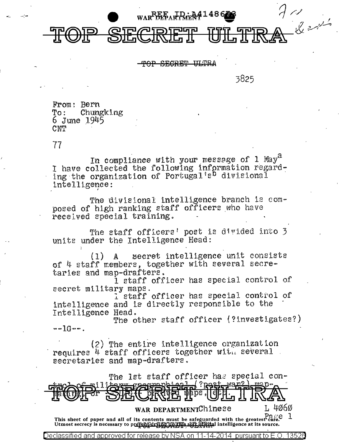

SEGRET ULTRA

3825

From: Bern Chungking To:  $6 \text{ June } 1945$  $\text{C} \text{MT}$ 

77

In compliance with your message of 1 May<sup>d</sup> I have collected the following information regard-<br>ing the organization of Portugal's divisional intelligence:

The divisional intelligence branch is composed of high ranking staff officers who have received special training.

The staff officers' post is divided into 3 units under the Intelligence Head:

secret intelligence unit consists  $(1)$  $\mathbf{A}$ of 4 staff members, together with several secretaries and map-drafters.

I staff officer has special control of secret military maps.

l'staff officer has special control of intelligence and is directly responsible to the Intelligence Head.

The other staff officer (?investigates?)  $-10-$ .

(2) The entire intelligence organization requires 4 staff officers together with several secretaries and map-drafters.

|                                      | The lst staff officer has special con- |                       |  |        |
|--------------------------------------|----------------------------------------|-----------------------|--|--------|
|                                      |                                        |                       |  |        |
| <b>Termies. DEFORGE The TOF TIKY</b> |                                        |                       |  |        |
|                                      |                                        | WAR DEPARTMENTChinese |  | L 4060 |

This sheet of paper and all of its contents must be safeguarded with the greatest care. 1 Utmost secrecy is necessary to prevent drain the up this soff of sighal intelligence at its source.

for release by Declassified and approved